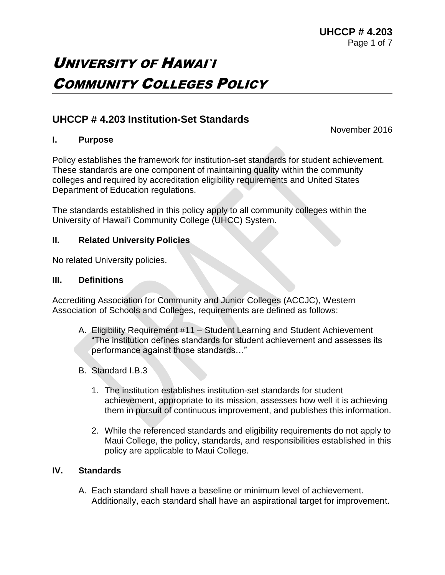# UNIVERSITY OF HAWAI`I COMMUNITY COLLEGES POLICY

# **UHCCP # 4.203 Institution-Set Standards**

November 2016

# **I. Purpose**

Policy establishes the framework for institution-set standards for student achievement. These standards are one component of maintaining quality within the community colleges and required by accreditation eligibility requirements and United States Department of Education regulations.

The standards established in this policy apply to all community colleges within the University of Hawai'i Community College (UHCC) System.

# **II. Related University Policies**

No related University policies.

#### **III. Definitions**

Accrediting Association for Community and Junior Colleges (ACCJC), Western Association of Schools and Colleges, requirements are defined as follows:

- A. Eligibility Requirement #11 Student Learning and Student Achievement "The institution defines standards for student achievement and assesses its performance against those standards…"
- B. Standard I.B.3
	- 1. The institution establishes institution-set standards for student achievement, appropriate to its mission, assesses how well it is achieving them in pursuit of continuous improvement, and publishes this information.
	- 2. While the referenced standards and eligibility requirements do not apply to Maui College, the policy, standards, and responsibilities established in this policy are applicable to Maui College.

# **IV. Standards**

A. Each standard shall have a baseline or minimum level of achievement. Additionally, each standard shall have an aspirational target for improvement.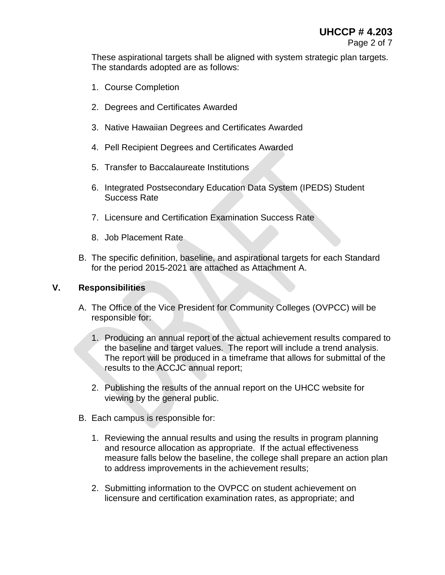These aspirational targets shall be aligned with system strategic plan targets. The standards adopted are as follows:

- 1. Course Completion
- 2. Degrees and Certificates Awarded
- 3. Native Hawaiian Degrees and Certificates Awarded
- 4. Pell Recipient Degrees and Certificates Awarded
- 5. Transfer to Baccalaureate Institutions
- 6. Integrated Postsecondary Education Data System (IPEDS) Student Success Rate
- 7. Licensure and Certification Examination Success Rate
- 8. Job Placement Rate
- B. The specific definition, baseline, and aspirational targets for each Standard for the period 2015-2021 are attached as Attachment A.

#### **V. Responsibilities**

- A. The Office of the Vice President for Community Colleges (OVPCC) will be responsible for:
	- 1. Producing an annual report of the actual achievement results compared to the baseline and target values. The report will include a trend analysis. The report will be produced in a timeframe that allows for submittal of the results to the ACCJC annual report;
	- 2. Publishing the results of the annual report on the UHCC website for viewing by the general public.
- B. Each campus is responsible for:
	- 1. Reviewing the annual results and using the results in program planning and resource allocation as appropriate. If the actual effectiveness measure falls below the baseline, the college shall prepare an action plan to address improvements in the achievement results;
	- 2. Submitting information to the OVPCC on student achievement on licensure and certification examination rates, as appropriate; and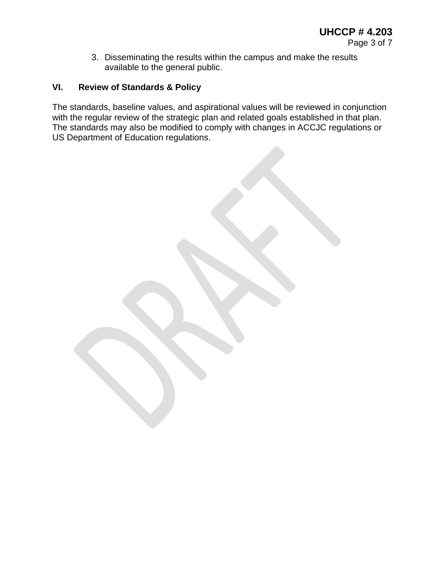3. Disseminating the results within the campus and make the results available to the general public.

# **VI. Review of Standards & Policy**

The standards, baseline values, and aspirational values will be reviewed in conjunction with the regular review of the strategic plan and related goals established in that plan. The standards may also be modified to comply with changes in ACCJC regulations or US Department of Education regulations.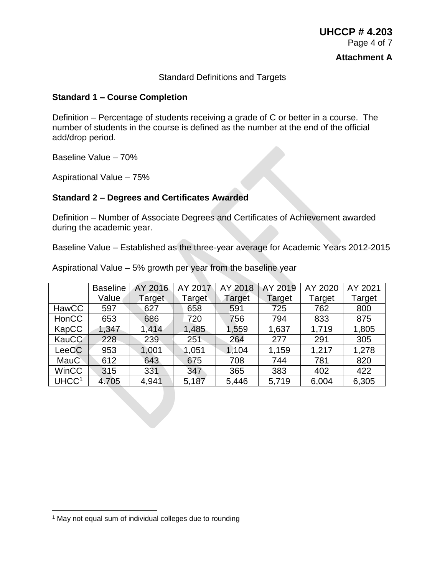#### Standard Definitions and Targets

#### **Standard 1 – Course Completion**

Definition – Percentage of students receiving a grade of C or better in a course. The number of students in the course is defined as the number at the end of the official add/drop period.

Baseline Value – 70%

Aspirational Value – 75%

#### **Standard 2 – Degrees and Certificates Awarded**

Definition – Number of Associate Degrees and Certificates of Achievement awarded during the academic year.

Baseline Value – Established as the three-year average for Academic Years 2012-2015

|                   | <b>Baseline</b> | AY 2016 | AY 2017 | AY 2018 | AY 2019 | AY 2020 | AY 2021 |
|-------------------|-----------------|---------|---------|---------|---------|---------|---------|
|                   | Value           | Target  | Target  | Target  | Target  | Target  | Target  |
| HawCC             | 597             | 627     | 658     | 591     | 725     | 762     | 800     |
| <b>HonCC</b>      | 653             | 686     | 720     | 756     | 794     | 833     | 875     |
| KapCC             | 1,347           | 1,414   | 1,485   | 1,559   | 1,637   | 1,719   | 1,805   |
| <b>KauCC</b>      | 228             | 239     | 251     | 264     | 277     | 291     | 305     |
| LeeCC             | 953             | 1,001   | 1,051   | 1,104   | 1,159   | 1,217   | 1,278   |
| MauC              | 612             | 643     | 675     | 708     | 744     | 781     | 820     |
| <b>WinCC</b>      | 315             | 331     | 347     | 365     | 383     | 402     | 422     |
| UHCC <sup>1</sup> | 4.705           | 4,941   | 5,187   | 5,446   | 5,719   | 6,004   | 6,305   |

Aspirational Value – 5% growth per year from the baseline year

 $\overline{a}$ 

<sup>&</sup>lt;sup>1</sup> May not equal sum of individual colleges due to rounding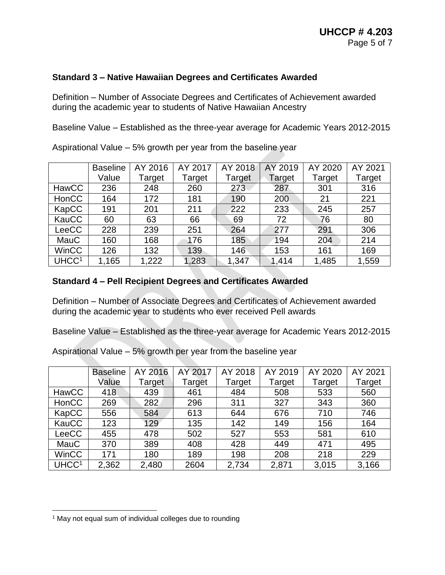# **Standard 3 – Native Hawaiian Degrees and Certificates Awarded**

Definition – Number of Associate Degrees and Certificates of Achievement awarded during the academic year to students of Native Hawaiian Ancestry

Baseline Value – Established as the three-year average for Academic Years 2012-2015

|                   | <b>Baseline</b> | AY 2016 | AY 2017 | AY 2018 | AY 2019 | AY 2020 | AY 2021 |
|-------------------|-----------------|---------|---------|---------|---------|---------|---------|
|                   | Value           | Target  | Target  | Target  | Target  | Target  | Target  |
| HawCC             | 236             | 248     | 260     | 273     | 287     | 301     | 316     |
| HonCC             | 164             | 172     | 181     | 190     | 200     | 21      | 221     |
| KapCC             | 191             | 201     | 211     | 222     | 233     | 245     | 257     |
| KauCC             | 60              | 63      | 66      | 69      | 72      | 76      | 80      |
| LeeCC             | 228             | 239     | 251     | 264     | 277     | 291     | 306     |
| MauC              | 160             | 168     | 176     | 185     | 194     | 204     | 214     |
| <b>WinCC</b>      | 126             | 132     | 139     | 146     | 153     | 161     | 169     |
| UHCC <sup>1</sup> | 1,165           | 1,222   | 1,283   | 1,347   | 1,414   | 1,485   | 1,559   |

Aspirational Value – 5% growth per year from the baseline year

# **Standard 4 – Pell Recipient Degrees and Certificates Awarded**

Definition – Number of Associate Degrees and Certificates of Achievement awarded during the academic year to students who ever received Pell awards

Baseline Value – Established as the three-year average for Academic Years 2012-2015

Baseline Value AY 2016 Target AY 2017 Target AY 2018 Target AY 2019 Target AY 2020 Target AY 2021 Target HawCC | 418 | 439 | 461 | 484 | 508 | 533 | 560 HonCC | 269 | 282 | 296 | 311 | 327 | 343 | 360 KapCC | 556 | 584 | 613 | 644 | 676 | 710 | 746 KauCC | 123 | 129 | 135 | 142 | 149 | 156 | 164 LeeCC | 455 | 478 | 502 | 527 | 553 | 581 | 610 MauC | 370 | 389 | 408 | 428 | 449 | 471 | 495 WinCC | 171 | 180 | 189 | 198 | 208 | 218 | 229 UHCC<sup>1</sup> | 2,362 | 2,480 | 2604 | 2,734 | 2,871 | 3,015 | 3,166

Aspirational Value – 5% growth per year from the baseline year

 $\overline{a}$ 

<sup>&</sup>lt;sup>1</sup> May not equal sum of individual colleges due to rounding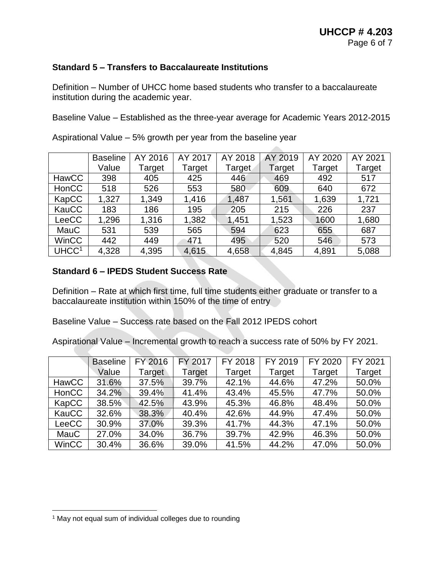# **Standard 5 – Transfers to Baccalaureate Institutions**

Definition – Number of UHCC home based students who transfer to a baccalaureate institution during the academic year.

Baseline Value – Established as the three-year average for Academic Years 2012-2015

|                   | <b>Baseline</b> | AY 2016 | AY 2017 | AY 2018 | AY 2019 | AY 2020 | AY 2021 |
|-------------------|-----------------|---------|---------|---------|---------|---------|---------|
|                   | Value           | Target  | Target  | Target  | Target  | Target  | Target  |
| HawCC             | 398             | 405     | 425     | 446     | 469     | 492     | 517     |
| HonCC             | 518             | 526     | 553     | 580     | 609     | 640     | 672     |
| KapCC             | 1,327           | 1,349   | 1,416   | 1,487   | 1,561   | 1,639   | 1,721   |
| KauCC             | 183             | 186     | 195     | 205     | 215     | 226     | 237     |
| LeeCC             | 1,296           | 1,316   | 1,382   | 1,451   | 1,523   | 1600    | 1,680   |
| MauC              | 531             | 539     | 565     | 594     | 623     | 655     | 687     |
| <b>WinCC</b>      | 442             | 449     | 471     | 495     | 520     | 546     | 573     |
| UHCC <sup>1</sup> | 4,328           | 4,395   | 4,615   | 4,658   | 4,845   | 4,891   | 5,088   |

Aspirational Value – 5% growth per year from the baseline year

# **Standard 6 – IPEDS Student Success Rate**

Definition – Rate at which first time, full time students either graduate or transfer to a baccalaureate institution within 150% of the time of entry

Baseline Value – Success rate based on the Fall 2012 IPEDS cohort

Aspirational Value – Incremental growth to reach a success rate of 50% by FY 2021.

|              | <b>Baseline</b> | FY 2016 | <b>FY 2017</b> | FY 2018 | FY 2019 | FY 2020 | FY 2021 |
|--------------|-----------------|---------|----------------|---------|---------|---------|---------|
|              | Value           | Target  | Target         | Target  | Target  | Target  | Target  |
| <b>HawCC</b> | 31.6%           | 37.5%   | 39.7%          | 42.1%   | 44.6%   | 47.2%   | 50.0%   |
| HonCC        | 34.2%           | 39.4%   | 41.4%          | 43.4%   | 45.5%   | 47.7%   | 50.0%   |
| KapCC        | 38.5%           | 42.5%   | 43.9%          | 45.3%   | 46.8%   | 48.4%   | 50.0%   |
| KauCC        | 32.6%           | 38.3%   | 40.4%          | 42.6%   | 44.9%   | 47.4%   | 50.0%   |
| LeeCC        | 30.9%           | 37.0%   | 39.3%          | 41.7%   | 44.3%   | 47.1%   | 50.0%   |
| MauC         | 27.0%           | 34.0%   | 36.7%          | 39.7%   | 42.9%   | 46.3%   | 50.0%   |
| <b>WinCC</b> | 30.4%           | 36.6%   | 39.0%          | 41.5%   | 44.2%   | 47.0%   | 50.0%   |

 $\overline{a}$ 

<sup>&</sup>lt;sup>1</sup> May not equal sum of individual colleges due to rounding